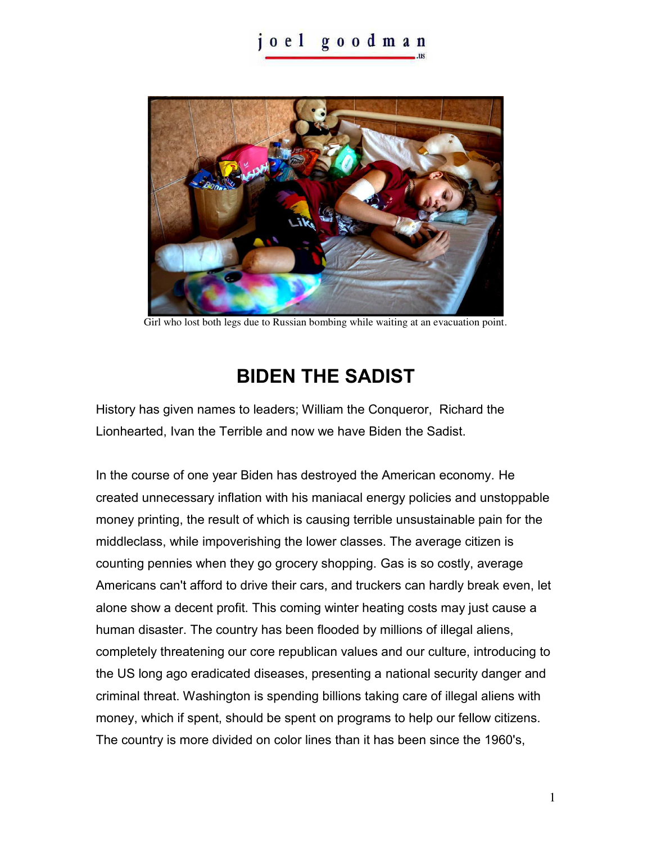## oel goodman



Girl who lost both legs due to Russian bombing while waiting at an evacuation point.

## **BIDEN THE SADIST**

History has given names to leaders; William the Conqueror, Richard the Lionhearted, Ivan the Terrible and now we have Biden the Sadist.

In the course of one year Biden has destroyed the American economy. He created unnecessary inflation with his maniacal energy policies and unstoppable money printing, the result of which is causing terrible unsustainable pain for the middleclass, while impoverishing the lower classes. The average citizen is counting pennies when they go grocery shopping. Gas is so costly, average Americans can't afford to drive their cars, and truckers can hardly break even, let alone show a decent profit. This coming winter heating costs may just cause a human disaster. The country has been flooded by millions of illegal aliens, completely threatening our core republican values and our culture, introducing to the US long ago eradicated diseases, presenting a national security danger and criminal threat. Washington is spending billions taking care of illegal aliens with money, which if spent, should be spent on programs to help our fellow citizens. The country is more divided on color lines than it has been since the 1960's,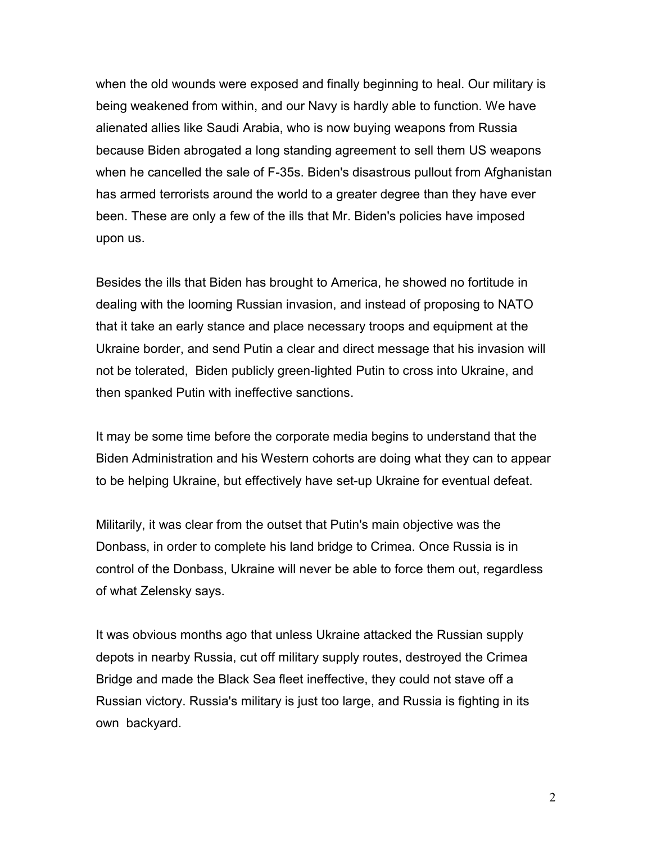when the old wounds were exposed and finally beginning to heal. Our military is being weakened from within, and our Navy is hardly able to function. We have alienated allies like Saudi Arabia, who is now buying weapons from Russia because Biden abrogated a long standing agreement to sell them US weapons when he cancelled the sale of F-35s. Biden's disastrous pullout from Afghanistan has armed terrorists around the world to a greater degree than they have ever been. These are only a few of the ills that Mr. Biden's policies have imposed upon us.

Besides the ills that Biden has brought to America, he showed no fortitude in dealing with the looming Russian invasion, and instead of proposing to NATO that it take an early stance and place necessary troops and equipment at the Ukraine border, and send Putin a clear and direct message that his invasion will not be tolerated, Biden publicly green-lighted Putin to cross into Ukraine, and then spanked Putin with ineffective sanctions.

It may be some time before the corporate media begins to understand that the Biden Administration and his Western cohorts are doing what they can to appear to be helping Ukraine, but effectively have set-up Ukraine for eventual defeat.

Militarily, it was clear from the outset that Putin's main objective was the Donbass, in order to complete his land bridge to Crimea. Once Russia is in control of the Donbass, Ukraine will never be able to force them out, regardless of what Zelensky says.

It was obvious months ago that unless Ukraine attacked the Russian supply depots in nearby Russia, cut off military supply routes, destroyed the Crimea Bridge and made the Black Sea fleet ineffective, they could not stave off a Russian victory. Russia's military is just too large, and Russia is fighting in its own backyard.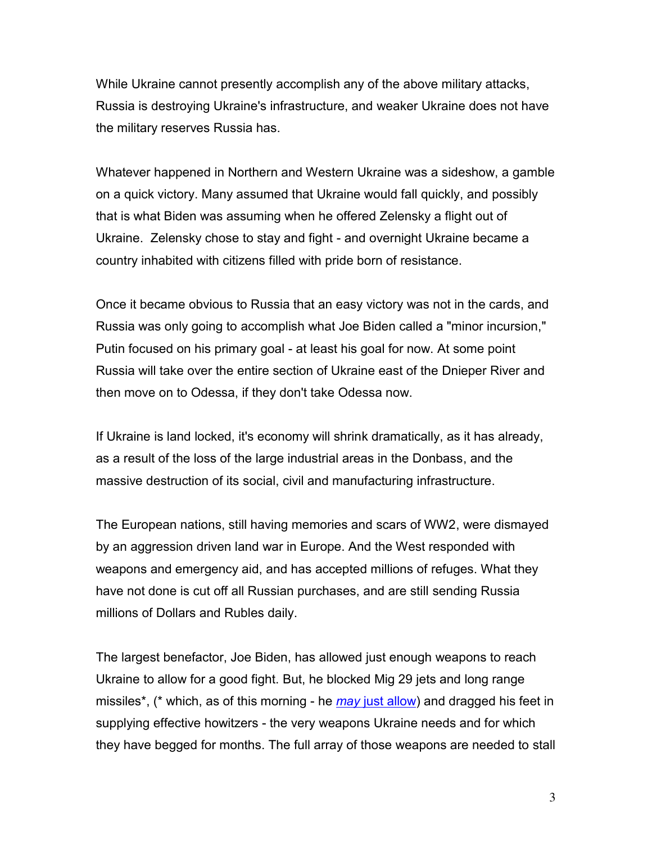While Ukraine cannot presently accomplish any of the above military attacks, Russia is destroying Ukraine's infrastructure, and weaker Ukraine does not have the military reserves Russia has.

Whatever happened in Northern and Western Ukraine was a sideshow, a gamble on a quick victory. Many assumed that Ukraine would fall quickly, and possibly that is what Biden was assuming when he offered Zelensky a flight out of Ukraine. Zelensky chose to stay and fight - and overnight Ukraine became a country inhabited with citizens filled with pride born of resistance.

Once it became obvious to Russia that an easy victory was not in the cards, and Russia was only going to accomplish what Joe Biden called a "minor incursion," Putin focused on his primary goal - at least his goal for now. At some point Russia will take over the entire section of Ukraine east of the Dnieper River and then move on to Odessa, if they don't take Odessa now.

If Ukraine is land locked, it's economy will shrink dramatically, as it has already, as a result of the loss of the large industrial areas in the Donbass, and the massive destruction of its social, civil and manufacturing infrastructure.

The European nations, still having memories and scars of WW2, were dismayed by an aggression driven land war in Europe. And the West responded with weapons and emergency aid, and has accepted millions of refuges. What they have not done is cut off all Russian purchases, and are still sending Russia millions of Dollars and Rubles daily.

The largest benefactor, Joe Biden, has allowed just enough weapons to reach Ukraine to allow for a good fight. But, he blocked Mig 29 jets and long range missiles\*, (\* which, as of this morning - he *may* [just allow\)](https://www.newsweek.com/white-house-walks-back-biden-ruling-out-rockets-ukraine-1711491) and dragged his feet in supplying effective howitzers - the very weapons Ukraine needs and for which they have begged for months. The full array of those weapons are needed to stall